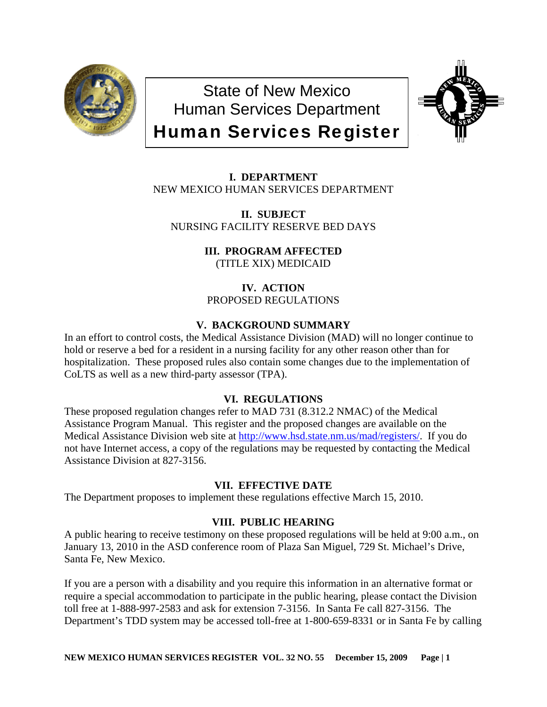

State of New Mexico Human Services Department Human Services Register



**I. DEPARTMENT** NEW MEXICO HUMAN SERVICES DEPARTMENT

**II. SUBJECT**  NURSING FACILITY RESERVE BED DAYS

> **III. PROGRAM AFFECTED** (TITLE XIX) MEDICAID

**IV. ACTION** PROPOSED REGULATIONS

# **V. BACKGROUND SUMMARY**

In an effort to control costs, the Medical Assistance Division (MAD) will no longer continue to hold or reserve a bed for a resident in a nursing facility for any other reason other than for hospitalization. These proposed rules also contain some changes due to the implementation of CoLTS as well as a new third-party assessor (TPA).

## **VI. REGULATIONS**

These proposed regulation changes refer to MAD 731 (8.312.2 NMAC) of the Medical Assistance Program Manual. This register and the proposed changes are available on the Medical Assistance Division web site at [http://www.hsd.state.nm.us/mad/registers/.](http://www.hsd.state.nm.us/mad/registers/) If you do not have Internet access, a copy of the regulations may be requested by contacting the Medical Assistance Division at 827-3156.

## **VII. EFFECTIVE DATE**

The Department proposes to implement these regulations effective March 15, 2010.

## **VIII. PUBLIC HEARING**

A public hearing to receive testimony on these proposed regulations will be held at 9:00 a.m., on January 13, 2010 in the ASD conference room of Plaza San Miguel, 729 St. Michael's Drive, Santa Fe, New Mexico.

If you are a person with a disability and you require this information in an alternative format or require a special accommodation to participate in the public hearing, please contact the Division toll free at 1-888-997-2583 and ask for extension 7-3156. In Santa Fe call 827-3156. The Department's TDD system may be accessed toll-free at 1-800-659-8331 or in Santa Fe by calling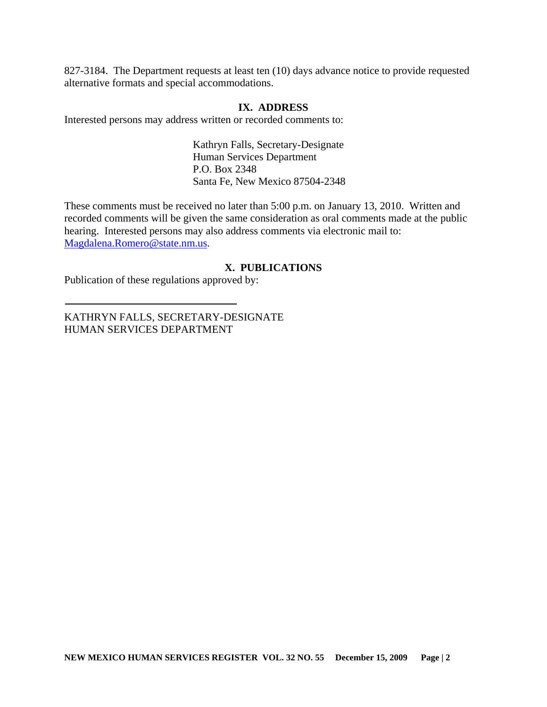827-3184. The Department requests at least ten (10) days advance notice to provide requested alternative formats and special accommodations.

#### **IX. ADDRESS**

Interested persons may address written or recorded comments to:

Kathryn Falls, Secretary-Designate Human Services Department P.O. Box 2348 Santa Fe, New Mexico 87504-2348

These comments must be received no later than 5:00 p.m. on January 13, 2010. Written and recorded comments will be given the same consideration as oral comments made at the public hearing. Interested persons may also address comments via electronic mail to: [Magdalena.Romero@state.nm.us.](mailto:Magdalena.Romero@state.nm.us)

#### **X. PUBLICATIONS**

Publication of these regulations approved by:

KATHRYN FALLS, SECRETARY-DESIGNATE HUMAN SERVICES DEPARTMENT